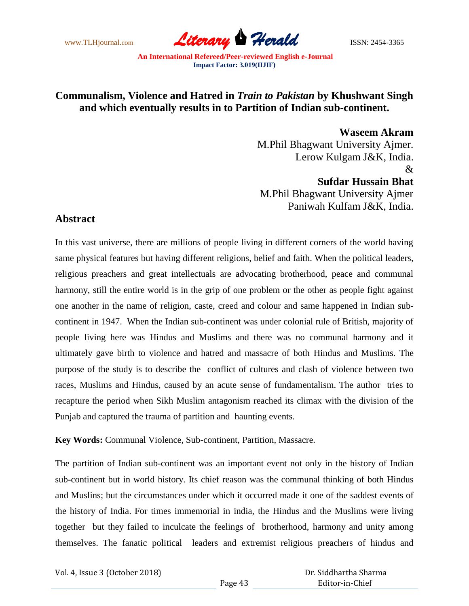

## **Communalism, Violence and Hatred in** *Train to Pakistan* **by Khushwant Singh and which eventually results in to Partition of Indian sub-continent.**

 **Waseem Akram** M.Phil Bhagwant University Ajmer. Lerow Kulgam J&K, India.  $\mathcal{R}_{\mathcal{L}}$ **Sufdar Hussain Bhat**

M.Phil Bhagwant University Ajmer Paniwah Kulfam J&K, India.

## **Abstract**

In this vast universe, there are millions of people living in different corners of the world having same physical features but having different religions, belief and faith. When the political leaders, religious preachers and great intellectuals are advocating brotherhood, peace and communal harmony, still the entire world is in the grip of one problem or the other as people fight against one another in the name of religion, caste, creed and colour and same happened in Indian subcontinent in 1947. When the Indian sub-continent was under colonial rule of British, majority of people living here was Hindus and Muslims and there was no communal harmony and it ultimately gave birth to violence and hatred and massacre of both Hindus and Muslims. The purpose of the study is to describe the conflict of cultures and clash of violence between two races, Muslims and Hindus, caused by an acute sense of fundamentalism. The author tries to recapture the period when Sikh Muslim antagonism reached its climax with the division of the Punjab and captured the trauma of partition and haunting events.

**Key Words:** Communal Violence, Sub-continent, Partition, Massacre.

The partition of Indian sub-continent was an important event not only in the history of Indian sub-continent but in world history. Its chief reason was the communal thinking of both Hindus and Muslins; but the circumstances under which it occurred made it one of the saddest events of the history of India. For times immemorial in india, the Hindus and the Muslims were living together but they failed to inculcate the feelings of brotherhood, harmony and unity among themselves. The fanatic political leaders and extremist religious preachers of hindus and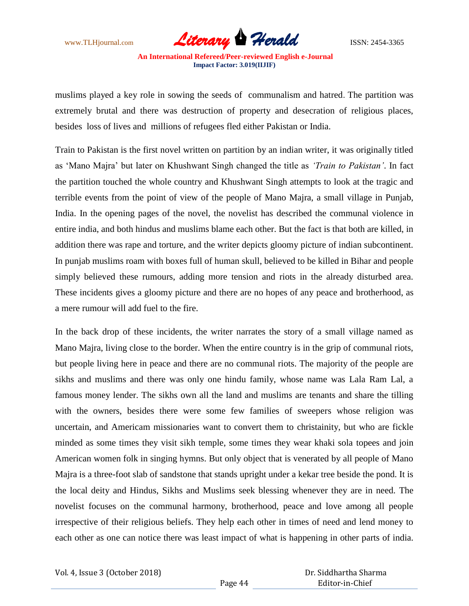www.TLHjournal.com **Literary Herald Herald ISSN: 2454-3365** 

muslims played a key role in sowing the seeds of communalism and hatred. The partition was extremely brutal and there was destruction of property and desecration of religious places, besides loss of lives and millions of refugees fled either Pakistan or India.

Train to Pakistan is the first novel written on partition by an indian writer, it was originally titled as 'Mano Majra' but later on Khushwant Singh changed the title as *'Train to Pakistan'*. In fact the partition touched the whole country and Khushwant Singh attempts to look at the tragic and terrible events from the point of view of the people of Mano Majra, a small village in Punjab, India. In the opening pages of the novel, the novelist has described the communal violence in entire india, and both hindus and muslims blame each other. But the fact is that both are killed, in addition there was rape and torture, and the writer depicts gloomy picture of indian subcontinent. In punjab muslims roam with boxes full of human skull, believed to be killed in Bihar and people simply believed these rumours, adding more tension and riots in the already disturbed area. These incidents gives a gloomy picture and there are no hopes of any peace and brotherhood, as a mere rumour will add fuel to the fire.

In the back drop of these incidents, the writer narrates the story of a small village named as Mano Majra, living close to the border. When the entire country is in the grip of communal riots, but people living here in peace and there are no communal riots. The majority of the people are sikhs and muslims and there was only one hindu family, whose name was Lala Ram Lal, a famous money lender. The sikhs own all the land and muslims are tenants and share the tilling with the owners, besides there were some few families of sweepers whose religion was uncertain, and Americam missionaries want to convert them to christainity, but who are fickle minded as some times they visit sikh temple, some times they wear khaki sola topees and join American women folk in singing hymns. But only object that is venerated by all people of Mano Majra is a three-foot slab of sandstone that stands upright under a kekar tree beside the pond. It is the local deity and Hindus, Sikhs and Muslims seek blessing whenever they are in need. The novelist focuses on the communal harmony, brotherhood, peace and love among all people irrespective of their religious beliefs. They help each other in times of need and lend money to each other as one can notice there was least impact of what is happening in other parts of india.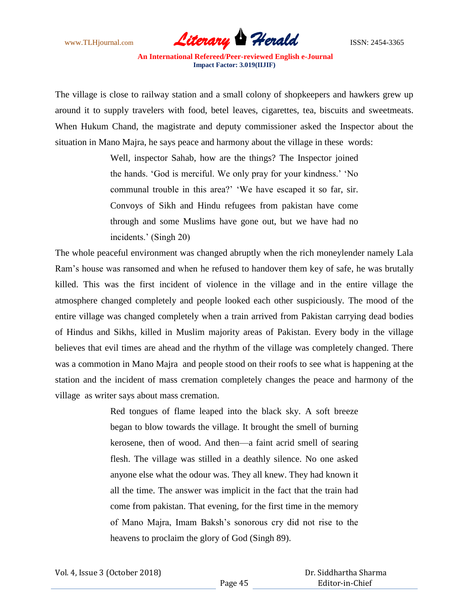

The village is close to railway station and a small colony of shopkeepers and hawkers grew up around it to supply travelers with food, betel leaves, cigarettes, tea, biscuits and sweetmeats. When Hukum Chand, the magistrate and deputy commissioner asked the Inspector about the situation in Mano Majra, he says peace and harmony about the village in these words:

> Well, inspector Sahab, how are the things? The Inspector joined the hands. 'God is merciful. We only pray for your kindness.' 'No communal trouble in this area?' 'We have escaped it so far, sir. Convoys of Sikh and Hindu refugees from pakistan have come through and some Muslims have gone out, but we have had no incidents.' (Singh 20)

The whole peaceful environment was changed abruptly when the rich moneylender namely Lala Ram's house was ransomed and when he refused to handover them key of safe, he was brutally killed. This was the first incident of violence in the village and in the entire village the atmosphere changed completely and people looked each other suspiciously. The mood of the entire village was changed completely when a train arrived from Pakistan carrying dead bodies of Hindus and Sikhs, killed in Muslim majority areas of Pakistan. Every body in the village believes that evil times are ahead and the rhythm of the village was completely changed. There was a commotion in Mano Majra and people stood on their roofs to see what is happening at the station and the incident of mass cremation completely changes the peace and harmony of the village as writer says about mass cremation.

> Red tongues of flame leaped into the black sky. A soft breeze began to blow towards the village. It brought the smell of burning kerosene, then of wood. And then—a faint acrid smell of searing flesh. The village was stilled in a deathly silence. No one asked anyone else what the odour was. They all knew. They had known it all the time. The answer was implicit in the fact that the train had come from pakistan. That evening, for the first time in the memory of Mano Majra, Imam Baksh's sonorous cry did not rise to the heavens to proclaim the glory of God (Singh 89).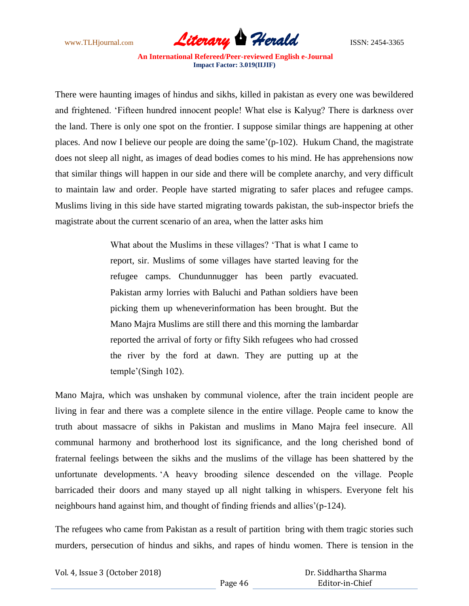

There were haunting images of hindus and sikhs, killed in pakistan as every one was bewildered and frightened. 'Fifteen hundred innocent people! What else is Kalyug? There is darkness over the land. There is only one spot on the frontier. I suppose similar things are happening at other places. And now I believe our people are doing the same'(p-102). Hukum Chand, the magistrate does not sleep all night, as images of dead bodies comes to his mind. He has apprehensions now that similar things will happen in our side and there will be complete anarchy, and very difficult to maintain law and order. People have started migrating to safer places and refugee camps. Muslims living in this side have started migrating towards pakistan, the sub-inspector briefs the magistrate about the current scenario of an area, when the latter asks him

> What about the Muslims in these villages? 'That is what I came to report, sir. Muslims of some villages have started leaving for the refugee camps. Chundunnugger has been partly evacuated. Pakistan army lorries with Baluchi and Pathan soldiers have been picking them up wheneverinformation has been brought. But the Mano Majra Muslims are still there and this morning the lambardar reported the arrival of forty or fifty Sikh refugees who had crossed the river by the ford at dawn. They are putting up at the temple'(Singh 102).

Mano Majra, which was unshaken by communal violence, after the train incident people are living in fear and there was a complete silence in the entire village. People came to know the truth about massacre of sikhs in Pakistan and muslims in Mano Majra feel insecure. All communal harmony and brotherhood lost its significance, and the long cherished bond of fraternal feelings between the sikhs and the muslims of the village has been shattered by the unfortunate developments. 'A heavy brooding silence descended on the village. People barricaded their doors and many stayed up all night talking in whispers. Everyone felt his neighbours hand against him, and thought of finding friends and allies'(p-124).

The refugees who came from Pakistan as a result of partition bring with them tragic stories such murders, persecution of hindus and sikhs, and rapes of hindu women. There is tension in the

Vol. 4, Issue 3 (October 2018)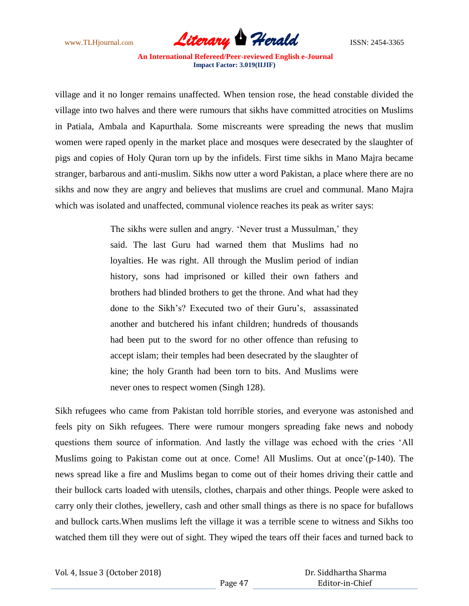

village and it no longer remains unaffected. When tension rose, the head constable divided the village into two halves and there were rumours that sikhs have committed atrocities on Muslims in Patiala, Ambala and Kapurthala. Some miscreants were spreading the news that muslim women were raped openly in the market place and mosques were desecrated by the slaughter of pigs and copies of Holy Quran torn up by the infidels. First time sikhs in Mano Majra became stranger, barbarous and anti-muslim. Sikhs now utter a word Pakistan, a place where there are no sikhs and now they are angry and believes that muslims are cruel and communal. Mano Majra which was isolated and unaffected, communal violence reaches its peak as writer says:

> The sikhs were sullen and angry. 'Never trust a Mussulman,' they said. The last Guru had warned them that Muslims had no loyalties. He was right. All through the Muslim period of indian history, sons had imprisoned or killed their own fathers and brothers had blinded brothers to get the throne. And what had they done to the Sikh's? Executed two of their Guru's, assassinated another and butchered his infant children; hundreds of thousands had been put to the sword for no other offence than refusing to accept islam; their temples had been desecrated by the slaughter of kine; the holy Granth had been torn to bits. And Muslims were never ones to respect women (Singh 128).

Sikh refugees who came from Pakistan told horrible stories, and everyone was astonished and feels pity on Sikh refugees. There were rumour mongers spreading fake news and nobody questions them source of information. And lastly the village was echoed with the cries 'All Muslims going to Pakistan come out at once. Come! All Muslims. Out at once'(p-140). The news spread like a fire and Muslims began to come out of their homes driving their cattle and their bullock carts loaded with utensils, clothes, charpais and other things. People were asked to carry only their clothes, jewellery, cash and other small things as there is no space for bufallows and bullock carts.When muslims left the village it was a terrible scene to witness and Sikhs too watched them till they were out of sight. They wiped the tears off their faces and turned back to